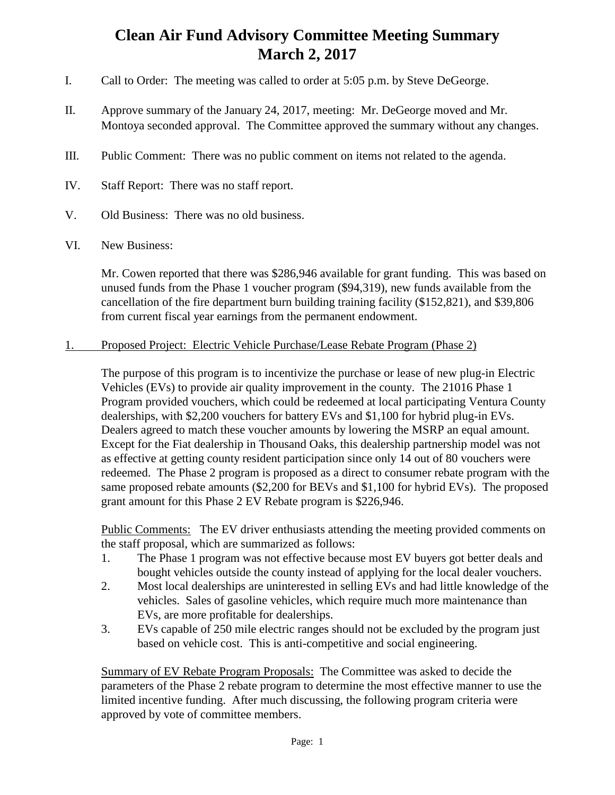## **Clean Air Fund Advisory Committee Meeting Summary March 2, 2017**

- I. Call to Order: The meeting was called to order at 5:05 p.m. by Steve DeGeorge.
- II. Approve summary of the January 24, 2017, meeting: Mr. DeGeorge moved and Mr. Montoya seconded approval. The Committee approved the summary without any changes.
- III. Public Comment: There was no public comment on items not related to the agenda.
- IV. Staff Report: There was no staff report.
- V. Old Business: There was no old business.
- VI. New Business:

Mr. Cowen reported that there was \$286,946 available for grant funding. This was based on unused funds from the Phase 1 voucher program (\$94,319), new funds available from the cancellation of the fire department burn building training facility (\$152,821), and \$39,806 from current fiscal year earnings from the permanent endowment.

## 1. Proposed Project: Electric Vehicle Purchase/Lease Rebate Program (Phase 2)

The purpose of this program is to incentivize the purchase or lease of new plug-in Electric Vehicles (EVs) to provide air quality improvement in the county. The 21016 Phase 1 Program provided vouchers, which could be redeemed at local participating Ventura County dealerships, with \$2,200 vouchers for battery EVs and \$1,100 for hybrid plug-in EVs. Dealers agreed to match these voucher amounts by lowering the MSRP an equal amount. Except for the Fiat dealership in Thousand Oaks, this dealership partnership model was not as effective at getting county resident participation since only 14 out of 80 vouchers were redeemed. The Phase 2 program is proposed as a direct to consumer rebate program with the same proposed rebate amounts (\$2,200 for BEVs and \$1,100 for hybrid EVs). The proposed grant amount for this Phase 2 EV Rebate program is \$226,946.

Public Comments: The EV driver enthusiasts attending the meeting provided comments on the staff proposal, which are summarized as follows:

- 1. The Phase 1 program was not effective because most EV buyers got better deals and bought vehicles outside the county instead of applying for the local dealer vouchers.
- 2. Most local dealerships are uninterested in selling EVs and had little knowledge of the vehicles. Sales of gasoline vehicles, which require much more maintenance than EVs, are more profitable for dealerships.
- 3. EVs capable of 250 mile electric ranges should not be excluded by the program just based on vehicle cost. This is anti-competitive and social engineering.

Summary of EV Rebate Program Proposals: The Committee was asked to decide the parameters of the Phase 2 rebate program to determine the most effective manner to use the limited incentive funding. After much discussing, the following program criteria were approved by vote of committee members.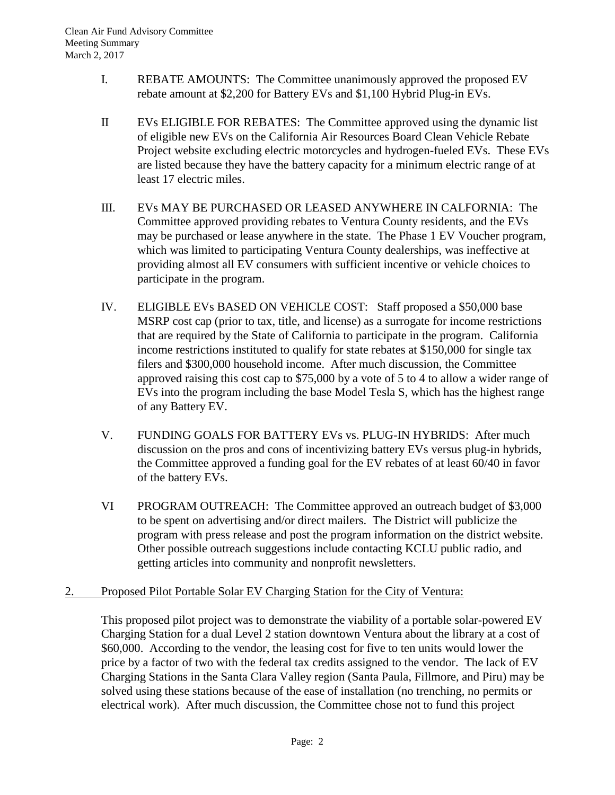- I. REBATE AMOUNTS: The Committee unanimously approved the proposed EV rebate amount at \$2,200 for Battery EVs and \$1,100 Hybrid Plug-in EVs.
- II EVs ELIGIBLE FOR REBATES: The Committee approved using the dynamic list of eligible new EVs on the California Air Resources Board Clean Vehicle Rebate Project website excluding electric motorcycles and hydrogen-fueled EVs. These EVs are listed because they have the battery capacity for a minimum electric range of at least 17 electric miles.
- III. EVs MAY BE PURCHASED OR LEASED ANYWHERE IN CALFORNIA: The Committee approved providing rebates to Ventura County residents, and the EVs may be purchased or lease anywhere in the state. The Phase 1 EV Voucher program, which was limited to participating Ventura County dealerships, was ineffective at providing almost all EV consumers with sufficient incentive or vehicle choices to participate in the program.
- IV. ELIGIBLE EVs BASED ON VEHICLE COST: Staff proposed a \$50,000 base MSRP cost cap (prior to tax, title, and license) as a surrogate for income restrictions that are required by the State of California to participate in the program. California income restrictions instituted to qualify for state rebates at \$150,000 for single tax filers and \$300,000 household income. After much discussion, the Committee approved raising this cost cap to \$75,000 by a vote of 5 to 4 to allow a wider range of EVs into the program including the base Model Tesla S, which has the highest range of any Battery EV.
- V. FUNDING GOALS FOR BATTERY EVs vs. PLUG-IN HYBRIDS: After much discussion on the pros and cons of incentivizing battery EVs versus plug-in hybrids, the Committee approved a funding goal for the EV rebates of at least 60/40 in favor of the battery EVs.
- VI PROGRAM OUTREACH: The Committee approved an outreach budget of \$3,000 to be spent on advertising and/or direct mailers. The District will publicize the program with press release and post the program information on the district website. Other possible outreach suggestions include contacting KCLU public radio, and getting articles into community and nonprofit newsletters.
- 2. Proposed Pilot Portable Solar EV Charging Station for the City of Ventura:

This proposed pilot project was to demonstrate the viability of a portable solar-powered EV Charging Station for a dual Level 2 station downtown Ventura about the library at a cost of \$60,000. According to the vendor, the leasing cost for five to ten units would lower the price by a factor of two with the federal tax credits assigned to the vendor. The lack of EV Charging Stations in the Santa Clara Valley region (Santa Paula, Fillmore, and Piru) may be solved using these stations because of the ease of installation (no trenching, no permits or electrical work). After much discussion, the Committee chose not to fund this project